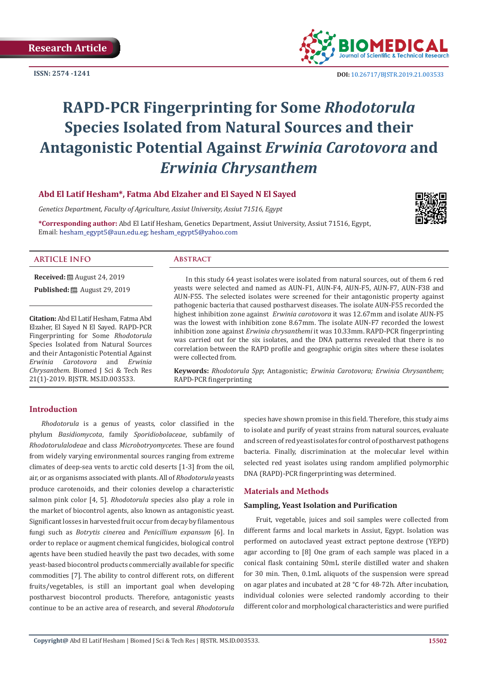**ISSN: 2574 -1241**



 **DOI:** [10.26717/BJSTR.2019.21.003533](http://dx.doi.org/10.26717/BJSTR.2019.21.003533)

# **RAPD-PCR Fingerprinting for Some** *Rhodotorula* **Species Isolated from Natural Sources and their Antagonistic Potential Against** *Erwinia Carotovora* **and**  *Erwinia Chrysanthem*

**Abd El Latif Hesham\*, Fatma Abd Elzaher and El Sayed N El Sayed**

*Genetics Department, Faculty of Agriculture, Assiut University, Assiut 71516, Egypt*

**\*Corresponding author:** Abd El Latif Hesham, Genetics Department, Assiut University, Assiut 71516, Egypt, Email: hesham\_egypt5@aun.edu.eg; hesham\_egypt5@yahoo.com



**Received:** August 24, 2019 **ARTICLE INFO Abstract** In this study 64 yeast isolates were isolated from natural sources, out of them 6 red

**Published:** ■ August 29, 2019

**Citation:** Abd El Latif Hesham, Fatma Abd Elzaher, El Sayed N El Sayed. RAPD-PCR Fingerprinting for Some *Rhodotorula* Species Isolated from Natural Sources and their Antagonistic Potential Against<br> *Erwinig Carotovora* and *Erwinia Erwinia Carotovora* and *Erwinia Chrysanthem*. Biomed J Sci & Tech Res 21(1)-2019. BJSTR. MS.ID.003533.

yeasts were selected and named as AUN-F1, AUN-F4, AUN-F5, AUN-F7, AUN-F38 and AUN-F55. The selected isolates were screened for their antagonistic property against pathogenic bacteria that caused postharvest diseases. The isolate AUN-F55 recorded the highest inhibition zone against *Erwinia carotovora* it was 12.67mm and isolate AUN-F5 was the lowest with inhibition zone 8.67mm. The isolate AUN-F7 recorded the lowest inhibition zone against *Erwinia chrysanthemi* it was 10.33mm. RAPD-PCR fingerprinting was carried out for the six isolates, and the DNA patterns revealed that there is no correlation between the RAPD profile and geographic origin sites where these isolates were collected from.

**Keywords:** *Rhodotorula Spp*; Antagonistic; *Erwinia Carotovora; Erwinia Chrysanthem*; RAPD-PCR fingerprinting

#### **Introduction**

*Rhodotorula* is a genus of yeasts, color classified in the phylum *Basidiomycota*, family *Sporidiobolaceae*, subfamily of *Rhodotorulalodeae* and class *Microbotryomycetes*. These are found from widely varying environmental sources ranging from extreme climates of deep-sea vents to arctic cold deserts [1-3] from the oil, air, or as organisms associated with plants. All of *Rhodotorula* yeasts produce carotenoids, and their colonies develop a characteristic salmon pink color [4, 5]. *Rhodotorula* species also play a role in the market of biocontrol agents, also known as antagonistic yeast. Significant losses in harvested fruit occur from decay by filamentous fungi such as *Botrytis cinerea* and *Penicillium expansum* [6]. In order to replace or augment chemical fungicides, biological control agents have been studied heavily the past two decades, with some yeast-based biocontrol products commercially available for specific commodities [7]. The ability to control different rots, on different fruits/vegetables, is still an important goal when developing postharvest biocontrol products. Therefore, antagonistic yeasts continue to be an active area of research, and several *Rhodotorula*

species have shown promise in this field. Therefore, this study aims to isolate and purify of yeast strains from natural sources, evaluate and screen of red yeast isolates for control of postharvest pathogens bacteria. Finally, discrimination at the molecular level within selected red yeast isolates using random amplified polymorphic DNA (RAPD)-PCR fingerprinting was determined.

# **Materials and Methods**

#### **Sampling, Yeast Isolation and Purification**

Fruit, vegetable, juices and soil samples were collected from different farms and local markets in Assiut, Egypt. Isolation was performed on autoclaved yeast extract peptone dextrose (YEPD) agar according to [8] One gram of each sample was placed in a conical flask containing 50mL sterile distilled water and shaken for 30 min. Then, 0.1mL aliquots of the suspension were spread on agar plates and incubated at 28 °C for 48-72h. After incubation, individual colonies were selected randomly according to their different color and morphological characteristics and were purified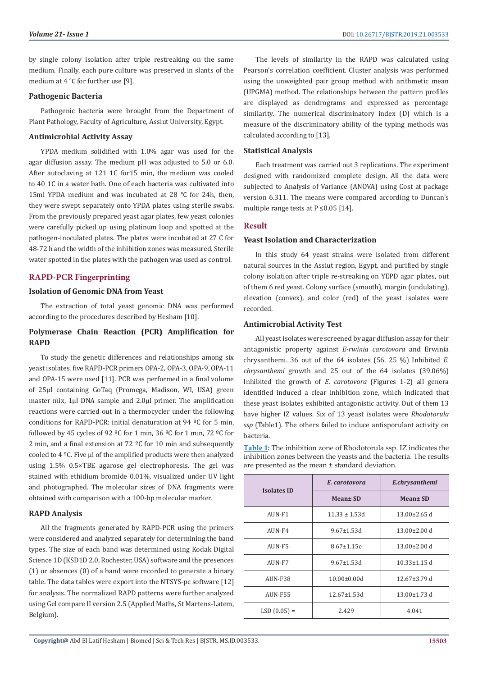by single colony isolation after triple restreaking on the same medium. Finally, each pure culture was preserved in slants of the medium at 4 °C for further use [9].

#### **Pathogenic Bacteria**

Pathogenic bacteria were brought from the Department of Plant Pathology, Faculty of Agriculture, Assiut University, Egypt.

#### **Antimicrobial Activity Assay**

YPDA medium solidified with 1.0% agar was used for the agar diffusion assay. The medium pH was adjusted to 5.0 or 6.0. After autoclaving at 121 1C for15 min, the medium was cooled to 40 1C in a water bath. One of each bacteria was cultivated into 15ml YPDA medium and was incubated at 28 °C for 24h, then, they were swept separately onto YPDA plates using sterile swabs. From the previously prepared yeast agar plates, few yeast colonies were carefully picked up using platinum loop and spotted at the pathogen-inoculated plates. The plates were incubated at 27 C for 48-72 h and the width of the inhibition zones was measured. Sterile water spotted in the plates with the pathogen was used as control.

#### **RAPD-PCR Fingerprinting**

#### **Isolation of Genomic DNA from Yeast**

The extraction of total yeast genomic DNA was performed according to the procedures described by Hesham [10].

# **Polymerase Chain Reaction (PCR) Amplification for RAPD**

To study the genetic differences and relationships among six yeast isolates, five RAPD-PCR primers OPA-2, OPA-3, OPA-9, OPA-11 and OPA-15 were used [11]. PCR was performed in a final volume of 25μl containing GoTaq (Promega, Madison, WI, USA) green master mix, 1μl DNA sample and 2.0μl primer. The amplification reactions were carried out in a thermocycler under the following conditions for RAPD-PCR: initial denaturation at 94 ºC for 5 min, followed by 45 cycles of 92 ºC for 1 min, 36 ºC for 1 min, 72 ºC for 2 min, and a final extension at 72  $\degree$ C for 10 min and subsequently cooled to 4 ºC. Five μl of the amplified products were then analyzed using 1.5% 0.5×TBE agarose gel electrophoresis. The gel was stained with ethidium bromide 0.01%, visualized under UV light and photographed. The molecular sizes of DNA fragments were obtained with comparison with a 100-bp molecular marker.

#### **RAPD Analysis**

All the fragments generated by RAPD-PCR using the primers were considered and analyzed separately for determining the band types. The size of each band was determined using Kodak Digital Science 1D (KSD1D 2.0, Rochester, USA) software and the presences (1) or absences (0) of a band were recorded to generate a binary table. The data tables were export into the NTSYS-pc software [12] for analysis. The normalized RAPD patterns were further analyzed using Gel compare II version 2.5 (Applied Maths, St Martens-Latem, Belgium).

The levels of similarity in the RAPD was calculated using Pearson's correlation coefficient. Cluster analysis was performed using the unweighted pair group method with arithmetic mean (UPGMA) method. The relationships between the pattern profiles are displayed as dendrograms and expressed as percentage similarity. The numerical discriminatory index (D) which is a measure of the discriminatory ability of the typing methods was calculated according to [13].

#### **Statistical Analysis**

Each treatment was carried out 3 replications. The experiment designed with randomized complete design. All the data were subjected to Analysis of Variance (ANOVA) using Cost at package version 6.311. The means were compared according to Duncan's multiple range tests at  $P \le 0.05$  [14].

#### **Result**

### **Yeast Isolation and Characterization**

In this study 64 yeast strains were isolated from different natural sources in the Assiut region, Egypt, and purified by single colony isolation after triple re-streaking on YEPD agar plates, out of them 6 red yeast. Colony surface (smooth), margin (undulating), elevation (convex), and color (red) of the yeast isolates were recorded.

#### **Antimicrobial Activity Test**

All yeast isolates were screened by agar diffusion assay for their antagonistic property against *E-rwinia carotovora* and Erwinia chrysanthemi. 36 out of the 64 isolates (56. 25 %) Inhibited *E. chrysanthemi* growth and 25 out of the 64 isolates (39.06%) Inhibited the growth of *E. carotovora* (Figures 1-2) all genera identified induced a clear inhibition zone, which indicated that these yeast isolates exhibited antagonistic activity. Out of them 13 have higher IZ values. Six of 13 yeast isolates were *Rhodotorula ssp* (Table1). The others failed to induce antisporulant activity on bacteria.

**Table 1:** The inhibition zone of Rhodotorula ssp. IZ indicates the inhibition zones between the yeasts and the bacteria. The results are presented as the mean ± standard deviation.

| <b>Isolates ID</b> | E. carotovora      | E.chrysanthemi     |  |
|--------------------|--------------------|--------------------|--|
|                    | Mean± SD           | Mean± SD           |  |
| AUN-F1             | $11.33 \pm 1.53d$  | $13.00\pm2.65$ d   |  |
| AUN-F4             | $9.67 \pm 1.53$ d  | $13.00 \pm 2.00$ d |  |
| AUN-F5             | $8.67 \pm 1.15e$   | $13.00 \pm 2.00$ d |  |
| AUN-F7             | $9.67 \pm 1.53$ d  | $10.33 \pm 1.15$ d |  |
| AUN-F38            | $10.00 \pm 0.00d$  | $12.67 \pm 3.79$ d |  |
| <b>AUN-F55</b>     | $12.67 \pm 1.53$ d | $13.00 \pm 1.73$ d |  |
| $LSD(0.05) =$      | 2.429              | 4.041              |  |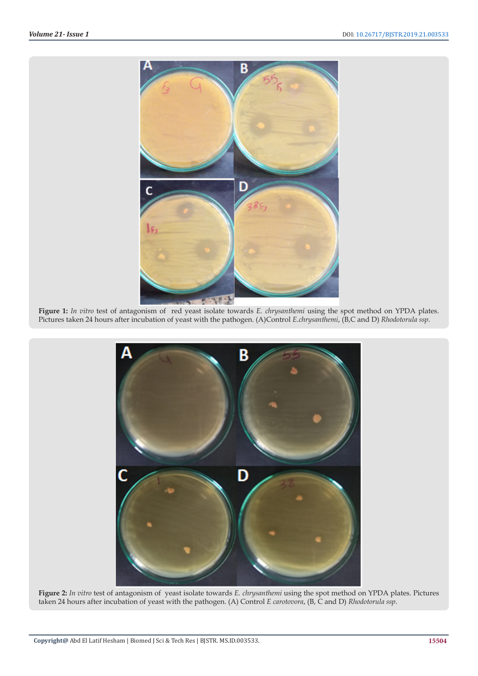

**Figure 1:** *In vitro* test of antagonism of red yeast isolate towards *E. chrysanthemi* using the spot method on YPDA plates. Pictures taken 24 hours after incubation of yeast with the pathogen. (A)Control *E.chrysanthemi*, (B,C and D) *Rhodotorula ssp*.



**Figure 2:** *In vitro* test of antagonism of yeast isolate towards *E. chrysanthemi* using the spot method on YPDA plates. Pictures taken 24 hours after incubation of yeast with the pathogen. (A) Control *E carotovora*, (B, C and D) *Rhodotorula ssp*.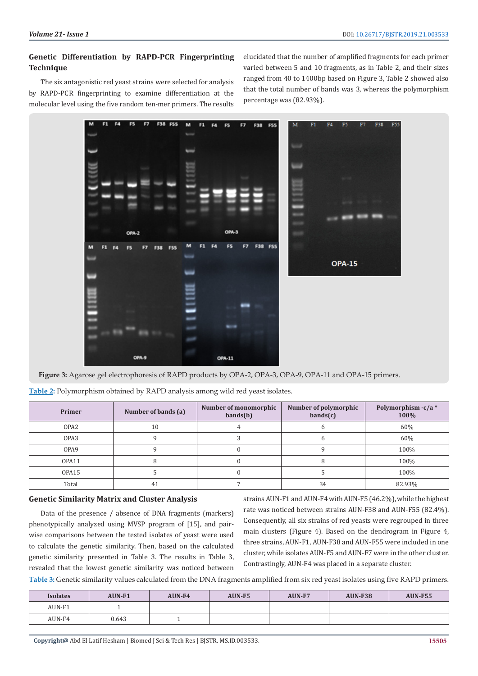# **Genetic Differentiation by RAPD-PCR Fingerprinting Technique**

The six antagonistic red yeast strains were selected for analysis by RAPD-PCR fingerprinting to examine differentiation at the molecular level using the five random ten-mer primers. The results elucidated that the number of amplified fragments for each primer varied between 5 and 10 fragments, as in Table 2, and their sizes ranged from 40 to 1400bp based on Figure 3, Table 2 showed also that the total number of bands was 3, whereas the polymorphism percentage was (82.93%).



**Figure 3:** Agarose gel electrophoresis of RAPD products by OPA-2, OPA-3, OPA-9, OPA-11 and OPA-15 primers.

| Table 2: Polymorphism obtained by RAPD analysis among wild red yeast isolates. |  |  |
|--------------------------------------------------------------------------------|--|--|
|                                                                                |  |  |

| Primer           | Number of bands (a) | Number of monomorphic<br>bands(b) | Number of polymorphic<br>bands(c) | Polymorphism $-c/a$ *<br>100% |
|------------------|---------------------|-----------------------------------|-----------------------------------|-------------------------------|
| OPA <sub>2</sub> | 10                  |                                   |                                   | 60%                           |
| OPA <sub>3</sub> |                     |                                   |                                   | 60%                           |
| OPA9             |                     |                                   |                                   | 100%                          |
| OPA11            |                     |                                   |                                   | 100%                          |
| OPA15            |                     |                                   |                                   | 100%                          |
| Total            | 41                  |                                   | 34                                | 82.93%                        |

#### **Genetic Similarity Matrix and Cluster Analysis**

Data of the presence / absence of DNA fragments (markers) phenotypically analyzed using MVSP program of [15], and pairwise comparisons between the tested isolates of yeast were used to calculate the genetic similarity. Then, based on the calculated genetic similarity presented in Table 3. The results in Table 3, revealed that the lowest genetic similarity was noticed between

strains AUN-F1 and AUN-F4 with AUN-F5 (46.2%), while the highest rate was noticed between strains AUN-F38 and AUN-F55 (82.4%). Consequently, all six strains of red yeasts were regrouped in three main clusters (Figure 4). Based on the dendrogram in Figure 4, three strains, AUN-F1, AUN-F38 and AUN-F55 were included in one cluster, while isolates AUN-F5 and AUN-F7 were in the other cluster. Contrastingly, AUN-F4 was placed in a separate cluster.

**Table 3:** Genetic similarity values calculated from the DNA fragments amplified from six red yeast isolates using five RAPD primers.

| <b>Isolates</b> | <b>AUN-F1</b> | AUN-F4 | AUN-F5 | <b>AUN-F7</b> | <b>AUN-F38</b> | <b>AUN-F55</b> |
|-----------------|---------------|--------|--------|---------------|----------------|----------------|
| AUN-F1          |               |        |        |               |                |                |
| AUN-F4          | 0.643         |        |        |               |                |                |

**Copyright@** Abd El Latif Hesham | Biomed J Sci & Tech Res | BJSTR. MS.ID.003533.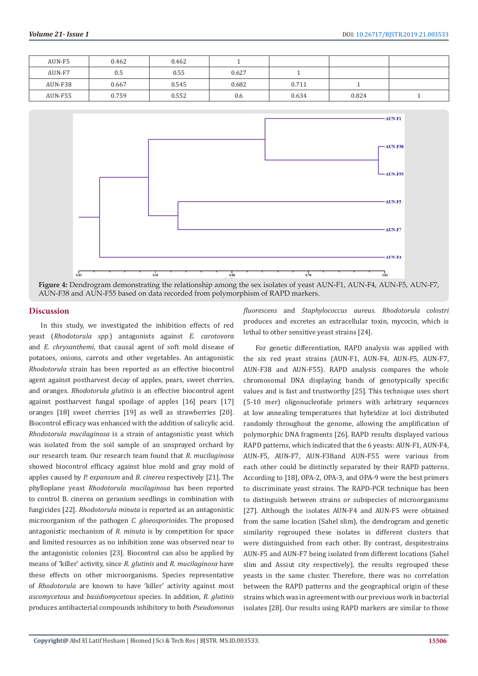| AUN-F5  | 0.462 | 0.462 |       |       |       |  |
|---------|-------|-------|-------|-------|-------|--|
| AUN-F7  | 0.5   | 0.55  | 0.627 |       |       |  |
| AUN-F38 | 0.667 | 0.545 | 0.682 | 0.711 |       |  |
| AUN-F55 | 0.759 | 0.552 | 0.6   | 0.634 | 0.824 |  |



#### **Discussion**

In this study, we investigated the inhibition effects of red yeast (*Rhodotorula spp.*) antagonists against *E. carotovora*  and *E. chrysanthemi*, that causal agent of soft mold disease of potatoes, onions, carrots and other vegetables. An antagonistic *Rhodotorula* strain has been reported as an effective biocontrol agent against postharvest decay of apples, pears, sweet cherries, and oranges. *Rhodotorula glutinis* is an effective biocontrol agent against postharvest fungal spoilage of apples [16] pears [17] oranges [18] sweet cherries [19] as well as strawberries [20]. Biocontrol efficacy was enhanced with the addition of salicylic acid. *Rhodotorula mucilaginosa* is a strain of antagonistic yeast which was isolated from the soil sample of an unsprayed orchard by our research team. Our research team found that *R. mucilaginosa* showed biocontrol efficacy against blue mold and gray mold of apples caused by *P. expansum* and *B. cinerea* respectively [21]. The phylloplane yeast *Rhodotorula mucilaginosa* has been reported to control B. cinerea on geranium seedlings in combination with fungicides [22]. *Rhodotorula minuta* is reported as an antagonistic microorganism of the pathogen *C. gloeosporioides*. The proposed antagonistic mechanism of *R. minuta* is by competition for space and limited resources as no inhibition zone was observed near to the antagonistic colonies [23]. Biocontrol can also be applied by means of 'killer' activity, since *R. glutinis* and *R. mucilaginosa* have these effects on other microorganisms. Species representative of *Rhodotorula* are known to have 'killer' activity against most *ascomycetous* and *basidiomycetous* species. In addition, *R. glutinis* produces antibacterial compounds inhibitory to both *Pseudomonas* 

*fluorescens* and *Staphylococcus aureus*. *Rhodotorula colostri* produces and excretes an extracellular toxin, mycocin, which is lethal to other sensitive yeast strains [24].

For genetic differentiation, RAPD analysis was applied with the six red yeast strains (AUN-F1, AUN-F4, AUN-F5, AUN-F7, AUN-F38 and AUN-F55). RAPD analysis compares the whole chromosomal DNA displaying bands of genotypically specific values and is fast and trustworthy [25]. This technique uses short (5-10 mer) oligonucleotide primers with arbitrary sequences at low annealing temperatures that hybridize at loci distributed randomly throughout the genome, allowing the amplification of polymorphic DNA fragments [26]. RAPD results displayed various RAPD patterns, which indicated that the 6 yeasts: AUN-F1, AUN-F4, AUN-F5, AUN-F7, AUN-F38and AUN-F55 were various from each other could be distinctly separated by their RAPD patterns. According to [18], OPA-2, OPA-3, and OPA-9 were the best primers to discriminate yeast strains. The RAPD-PCR technique has been to distinguish between strains or subspecies of microorganisms [27]. Although the isolates AUN-F4 and AUN-F5 were obtained from the same location (Sahel slim), the dendrogram and genetic similarity regrouped these isolates in different clusters that were distinguished from each other. By contrast, despitestrains AUN-F5 and AUN-F7 being isolated from different locations (Sahel slim and Assiut city respectively), the results regrouped these yeasts in the same cluster. Therefore, there was no correlation between the RAPD patterns and the geographical origin of these strains which was in agreement with our previous work in bacterial isolates [28]. Our results using RAPD markers are similar to those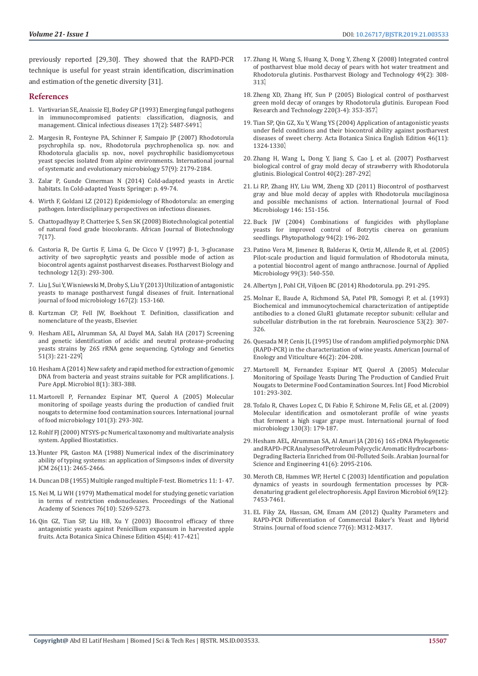previously reported [29,30]. They showed that the RAPD-PCR technique is useful for yeast strain identification, discrimination and estimation of the genetic diversity [31].

#### **References**

- 1. [Vartivarian SE, Anaissie EJ, Bodey GP \(1993\) Emerging fungal pathogens](https://www.ncbi.nlm.nih.gov/pubmed/8274615)  [in immunocompromised patients: classification, diagnosis, and](https://www.ncbi.nlm.nih.gov/pubmed/8274615)  management. [Clinical infectious diseases](https://www.ncbi.nlm.nih.gov/pubmed/8274615) 17(2): S487-S491.
- 2. [Margesin R, Fonteyne PA, Schinner F, Sampaio JP \(2007\) Rhodotorula](https://www.ncbi.nlm.nih.gov/pubmed/17766895)  [psychrophila sp. nov., Rhodotorula psychrophenolica sp. nov. and](https://www.ncbi.nlm.nih.gov/pubmed/17766895)  [Rhodotorula glacialis sp. nov., novel psychrophilic basidiomycetous](https://www.ncbi.nlm.nih.gov/pubmed/17766895)  [yeast species isolated from alpine environments.](https://www.ncbi.nlm.nih.gov/pubmed/17766895) International journal [of systematic and evolutionary microbiology](https://www.ncbi.nlm.nih.gov/pubmed/17766895) 57(9): 2179-2184.
- 3. [Zalar P, Gunde Cimerman N \(2014\) Cold-adapted yeasts in Arctic](https://pdfs.semanticscholar.org/bfd2/f75e8de0369307f0c92239125e0cc2bc0ef1.pdf)  habitats. In [Cold-adapted Yeasts Springer: p. 49-74.](https://pdfs.semanticscholar.org/bfd2/f75e8de0369307f0c92239125e0cc2bc0ef1.pdf)
- 4. [Wirth F, Goldani LZ \(2012\) Epidemiology of Rhodotorula: an emerging](https://www.hindawi.com/journals/ipid/2012/465717/)  pathogen. [Interdisciplinary perspectives on infectious diseases.](https://www.hindawi.com/journals/ipid/2012/465717/)
- 5. [Chattopadhyay P, Chatterjee S, Sen SK \(2008\) Biotechnological potential](https://www.ajol.info/index.php/ajb/article/view/59211)  [of natural food grade biocolorants.](https://www.ajol.info/index.php/ajb/article/view/59211) African Journal of Biotechnology [7\(17\).](https://www.ajol.info/index.php/ajb/article/view/59211)
- 6. [Castoria R, De Curtis F, Lima G, De Cicco V \(1997\)](https://www.academia.edu/12988965/%CE%B2-1_3-glucanase_activity_of_two_saprophytic_yeasts_and_possible_mode_of_action_as_biocontrol_agents_against_postharvest_diseases) β-1, 3-glucanase [activity of two saprophytic yeasts and possible mode of action as](https://www.academia.edu/12988965/%CE%B2-1_3-glucanase_activity_of_two_saprophytic_yeasts_and_possible_mode_of_action_as_biocontrol_agents_against_postharvest_diseases)  [biocontrol agents against postharvest diseases.](https://www.academia.edu/12988965/%CE%B2-1_3-glucanase_activity_of_two_saprophytic_yeasts_and_possible_mode_of_action_as_biocontrol_agents_against_postharvest_diseases) Postharvest Biology and [technology 12\(3\): 293-300.](https://www.academia.edu/12988965/%CE%B2-1_3-glucanase_activity_of_two_saprophytic_yeasts_and_possible_mode_of_action_as_biocontrol_agents_against_postharvest_diseases)
- 7. [Liu J, Sui Y, Wisniewski M, Droby S, Liu Y \(2013\) Utilization of antagonistic](https://www.ncbi.nlm.nih.gov/pubmed/24135671)  [yeasts to manage postharvest fungal diseases of fruit.](https://www.ncbi.nlm.nih.gov/pubmed/24135671) International [journal of food microbiology 167\(2\): 153-160.](https://www.ncbi.nlm.nih.gov/pubmed/24135671)
- 8. Kurtzman CP, Fell JW, Boekhout T. Definition, classification and nomenclature of the yeasts, Elsevier.
- 9. [Hesham AEL, Alrumman SA, Al Dayel MA, Salah HA \(2017\) Screening](http://cytgen.com/en/2017/82-84N3V51.htm)  [and genetic identification of acidic and neutral protease-producing](http://cytgen.com/en/2017/82-84N3V51.htm)  [yeasts strains by 26S rRNA gene sequencing.](http://cytgen.com/en/2017/82-84N3V51.htm) Cytology and Genetics 51(3): 221-229.
- 10. [Hesham A \(2014\) New safety and rapid method for extraction of genomic](https://www.researchgate.net/publication/286955765_New_safety_and_rapid_method_for_extraction_of_genomic_DNA_from_bacteria_and_yeast_strains_suitable_for_PCR_amplifications)  [DNA from bacteria and yeast strains suitable for PCR amplifications.](https://www.researchgate.net/publication/286955765_New_safety_and_rapid_method_for_extraction_of_genomic_DNA_from_bacteria_and_yeast_strains_suitable_for_PCR_amplifications) J. [Pure Appl. Microbiol 8\(1\): 383-388.](https://www.researchgate.net/publication/286955765_New_safety_and_rapid_method_for_extraction_of_genomic_DNA_from_bacteria_and_yeast_strains_suitable_for_PCR_amplifications)
- 11. [Martorell P, Fernandez Espinar MT, Querol A \(2005\) Molecular](http://europepmc.org/abstract/med/15925712)  [monitoring of spoilage yeasts during the production of candied fruit](http://europepmc.org/abstract/med/15925712)  [nougats to determine food contamination sources.](http://europepmc.org/abstract/med/15925712) International journal [of food microbiology](http://europepmc.org/abstract/med/15925712) 101(3): 293-302.
- 12. [Rohlf FJ \(2000\) NTSYS-pc Numerical taxonomy and multivariate analysis](https://www.scirp.org/(S(351jmbntvnsjt1aadkposzje))/reference/ReferencesPapers.aspx?ReferenceID=1907042)  [system. Applied Biostatistics.](https://www.scirp.org/(S(351jmbntvnsjt1aadkposzje))/reference/ReferencesPapers.aspx?ReferenceID=1907042)
- 13. [Hunter PR, Gaston MA \(1988\) Numerical index of the discriminatory](https://www.ncbi.nlm.nih.gov/pubmed/3069867)  [ability of typing systems: an application of Simpson›s index of diversity](https://www.ncbi.nlm.nih.gov/pubmed/3069867)  [JCM 26\(11\): 2465-2466.](https://www.ncbi.nlm.nih.gov/pubmed/3069867)
- 14. [Duncan DB \(1955\) Multiple ranged multiple F-test. Biometrics 11: 1- 47.](http://garfield.library.upenn.edu/classics1977/A1977DM02600001.pdf)
- 15. [Nei M, Li WH \(1979\) Mathematical model for studying genetic variation](https://www.ncbi.nlm.nih.gov/pubmed/291943/)  [in terms of restriction endonucleases.](https://www.ncbi.nlm.nih.gov/pubmed/291943/) Proceedings of the National [Academy of Sciences 76\(10\): 5269-5273.](https://www.ncbi.nlm.nih.gov/pubmed/291943/)
- 16. [Qin GZ, Tian SP, Liu HB, Xu Y \(2003\) Biocontrol efficacy of three](http://en.cnki.com.cn/Article_en/CJFDTOTAL-ZWXB200304005.htm)  [antagonistic yeasts against Penicillium expansum in harvested apple](http://en.cnki.com.cn/Article_en/CJFDTOTAL-ZWXB200304005.htm)  fruits. [Acta Botanica Sinica Chinese Edition](http://en.cnki.com.cn/Article_en/CJFDTOTAL-ZWXB200304005.htm) 45(4): 417-421.
- 17. [Zhang H, Wang S, Huang X, Dong Y, Zheng X \(2008\) Integrated control](https://www.researchgate.net/publication/229186972_Integrated_control_of_postharvest_blue_mold_decay_of_pears_with_hot_water_treatment_and_Rhodotorula_glutinis) [of postharvest blue mold decay of pears with hot water treatment and](https://www.researchgate.net/publication/229186972_Integrated_control_of_postharvest_blue_mold_decay_of_pears_with_hot_water_treatment_and_Rhodotorula_glutinis) Rhodotorula glutinis. [Postharvest Biology and Technology 49\(2\): 308-](https://www.researchgate.net/publication/229186972_Integrated_control_of_postharvest_blue_mold_decay_of_pears_with_hot_water_treatment_and_Rhodotorula_glutinis) [313.](https://www.researchgate.net/publication/229186972_Integrated_control_of_postharvest_blue_mold_decay_of_pears_with_hot_water_treatment_and_Rhodotorula_glutinis)
- 18. [Zheng XD, Zhang HY, Sun P \(2005\) Biological control of postharvest](https://www.researchgate.net/publication/225383207_Biological_control_of_postharvest_green_mold_decay_of_oranges_by_Rhodotorula_glutinis) [green mold decay of oranges by Rhodotorula glutinis.](https://www.researchgate.net/publication/225383207_Biological_control_of_postharvest_green_mold_decay_of_oranges_by_Rhodotorula_glutinis) European Food [Research and Technology 220\(3-4\): 353-357.](https://www.researchgate.net/publication/225383207_Biological_control_of_postharvest_green_mold_decay_of_oranges_by_Rhodotorula_glutinis)
- 19. [Tian SP, Qin GZ, Xu Y, Wang YS \(2004\) Application of antagonistic yeasts](https://europepmc.org/abstract/cba/463873) [under field conditions and their biocontrol ability against postharvest](https://europepmc.org/abstract/cba/463873) diseases of sweet cherry. [Acta Botanica Sinica English Edition 46\(11\):](https://europepmc.org/abstract/cba/463873) [1324-1330.](https://europepmc.org/abstract/cba/463873)
- 20. [Zhang H, Wang L, Dong Y, Jiang S, Cao J, et al. \(2007\) Postharvest](https://www.researchgate.net/publication/248592926_Postharvest_biological_control_of_gray_mold_decay_of_strawberry_with_Rhodotorula_glutinis) [biological control of gray mold decay of strawberry with Rhodotorula](https://www.researchgate.net/publication/248592926_Postharvest_biological_control_of_gray_mold_decay_of_strawberry_with_Rhodotorula_glutinis) glutinis. [Biological Control 40\(2\): 287-292.](https://www.researchgate.net/publication/248592926_Postharvest_biological_control_of_gray_mold_decay_of_strawberry_with_Rhodotorula_glutinis)
- 21. [Li RP, Zhang HY, Liu WM, Zheng XD \(2011\) Biocontrol of postharvest](https://www.ncbi.nlm.nih.gov/pubmed/21402429) [gray and blue mold decay of apples with Rhodotorula mucilaginosa](https://www.ncbi.nlm.nih.gov/pubmed/21402429) [and possible mechanisms of action. International Journal of Food](https://www.ncbi.nlm.nih.gov/pubmed/21402429) [Microbiology 146: 151-156.](https://www.ncbi.nlm.nih.gov/pubmed/21402429)
- 22. [Buck JW \(2004\) Combinations of fungicides with phylloplane](https://www.ncbi.nlm.nih.gov/pubmed/18943543) [yeasts for improved control of Botrytis cinerea on geranium](https://www.ncbi.nlm.nih.gov/pubmed/18943543) seedlings. Phytopathology [94\(2\): 196-202.](https://www.ncbi.nlm.nih.gov/pubmed/18943543)
- 23. [Patino Vera M, Jimenez B, Balderas K, Ortiz M, Allende R, et al. \(2005\)](https://www.ncbi.nlm.nih.gov/pubmed/16108795) [Pilot-scale production and liquid formulation of Rhodotorula minuta,](https://www.ncbi.nlm.nih.gov/pubmed/16108795) [a potential biocontrol agent of mango anthracnose.](https://www.ncbi.nlm.nih.gov/pubmed/16108795) Journal of Applied Microbiology [99\(3\): 540-550.](https://www.ncbi.nlm.nih.gov/pubmed/16108795)
- 24. Albertyn J, Pohl CH, Viljoen BC (2014) Rhodotorula. pp. 291-295.
- 25. [Molnar E, Baude A, Richmond SA, Patel PB, Somogyi P, et al. \(1993\)](https://europepmc.org/abstract/med/8492909) [Biochemical and immunocytochemical characterization of antipeptide](https://europepmc.org/abstract/med/8492909) [antibodies to a cloned GluR1 glutamate receptor subunit: cellular and](https://europepmc.org/abstract/med/8492909) [subcellular distribution in the rat forebrain.](https://europepmc.org/abstract/med/8492909) Neuroscience 53(2): 307- [326.](https://europepmc.org/abstract/med/8492909)
- 26. [Quesada M P, Cenis JL \(1995\) Use of random amplified polymorphic DNA](https://www.ajevonline.org/content/46/2/204) [\(RAPD-PCR\) in the characterization of wine yeasts.](https://www.ajevonline.org/content/46/2/204) American Journal of [Enology and Viticulture 46\(2\): 204-208.](https://www.ajevonline.org/content/46/2/204)
- 27. [Martorell M, Fernandez Espinar MT, Querol A \(2005\) Molecular](https://www.ncbi.nlm.nih.gov/pubmed/15925712) [Monitoring of Spoilage Yeasts During The Production of Candied Fruit](https://www.ncbi.nlm.nih.gov/pubmed/15925712) [Nougats to Determine Food Contamination Sources. Int J Food Microbiol](https://www.ncbi.nlm.nih.gov/pubmed/15925712) [101: 293-302.](https://www.ncbi.nlm.nih.gov/pubmed/15925712)
- 28. [Tofalo R, Chaves Lopez C, Di Fabio F, Schirone M, Felis GE, et al. \(2009\)](http://europepmc.org/abstract/med/19230999) [Molecular identification and osmotolerant profile of wine yeasts](http://europepmc.org/abstract/med/19230999) [that ferment a high sugar grape must.](http://europepmc.org/abstract/med/19230999) International journal of food [microbiology 130\(3\): 179-187.](http://europepmc.org/abstract/med/19230999)
- 29. [Hesham AEL, Alrumman SA, Al Amari JA \(2016\) 16S rDNA Phylogenetic](https://link.springer.com/article/10.1007/s13369-015-1843-2) [and RAPD–PCR Analyses of Petroleum Polycyclic Aromatic Hydrocarbons-](https://link.springer.com/article/10.1007/s13369-015-1843-2)[Degrading Bacteria Enriched from Oil-Polluted Soils.](https://link.springer.com/article/10.1007/s13369-015-1843-2) Arabian Journal for [Science and Engineering](https://link.springer.com/article/10.1007/s13369-015-1843-2) 41(6): 2095-2106.
- 30. [Meroth CB, Hammes WP, Hertel C \(2003\) Identification and population](https://aem.asm.org/content/69/12/7453) [dynamics of yeasts in sourdough fermentation processes by PCR](https://aem.asm.org/content/69/12/7453)[denaturing gradient gel electrophoresis.](https://aem.asm.org/content/69/12/7453) Appl Environ Microbiol 69(12): [7453-7461.](https://aem.asm.org/content/69/12/7453)
- 31. [EL Fiky ZA, Hassan, GM, Emam AM \(2012\) Quality Parameters and](https://onlinelibrary.wiley.com/doi/abs/10.1111/j.1750-3841.2012.02690.x) [RAPD-PCR Differentiation of Commercial Baker's Yeast and Hybrid](https://onlinelibrary.wiley.com/doi/abs/10.1111/j.1750-3841.2012.02690.x) Strains. [Journal of food science](https://onlinelibrary.wiley.com/doi/abs/10.1111/j.1750-3841.2012.02690.x) 77(6): M312-M317.